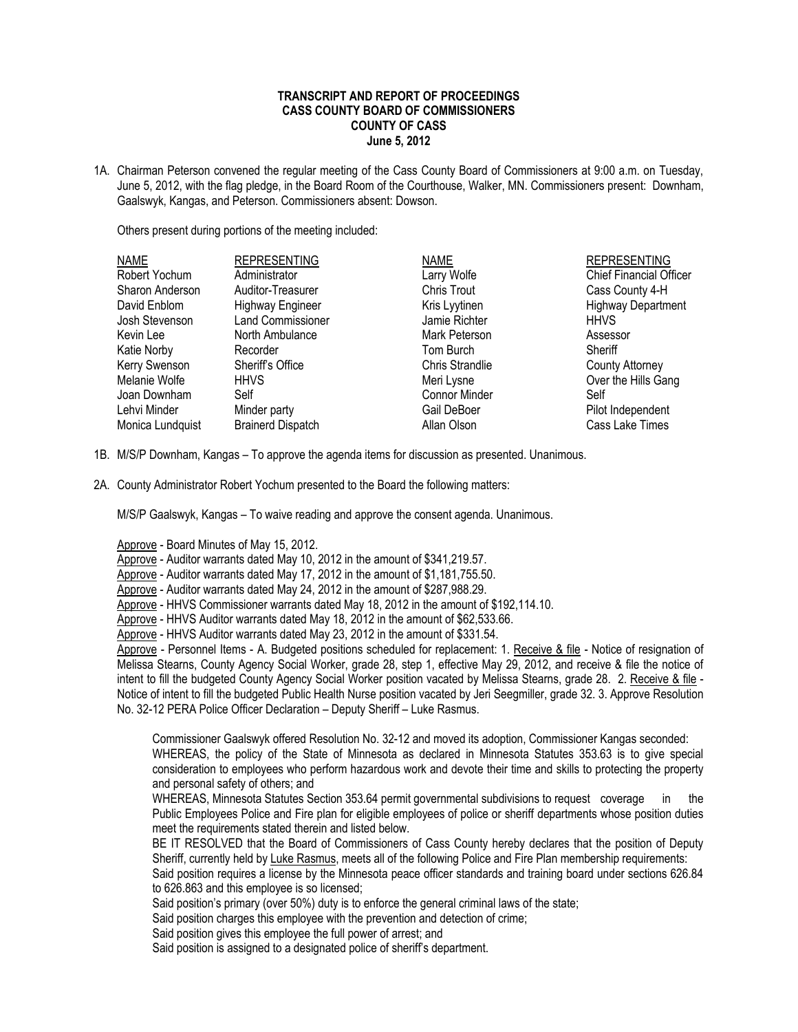## **TRANSCRIPT AND REPORT OF PROCEEDINGS CASS COUNTY BOARD OF COMMISSIONERS COUNTY OF CASS June 5, 2012**

1A. Chairman Peterson convened the regular meeting of the Cass County Board of Commissioners at 9:00 a.m. on Tuesday, June 5, 2012, with the flag pledge, in the Board Room of the Courthouse, Walker, MN. Commissioners present: Downham, Gaalswyk, Kangas, and Peterson. Commissioners absent: Dowson.

Others present during portions of the meeting included:

| <b>NAME</b>      | <b>REPRESENTING</b>      | <b>NAME</b>            | <b>REPRESENTING</b>            |
|------------------|--------------------------|------------------------|--------------------------------|
| Robert Yochum    | Administrator            | Larry Wolfe            | <b>Chief Financial Officer</b> |
| Sharon Anderson  | Auditor-Treasurer        | Chris Trout            | Cass County 4-H                |
| David Enblom     | <b>Highway Engineer</b>  | Kris Lyytinen          | <b>Highway Department</b>      |
| Josh Stevenson   | <b>Land Commissioner</b> | Jamie Richter          | <b>HHVS</b>                    |
| Kevin Lee        | North Ambulance          | Mark Peterson          | Assessor                       |
| Katie Norby      | Recorder                 | Tom Burch              | Sheriff                        |
| Kerry Swenson    | Sheriff's Office         | <b>Chris Strandlie</b> | <b>County Attorney</b>         |
| Melanie Wolfe    | <b>HHVS</b>              | Meri Lysne             | Over the Hills Gang            |
| Joan Downham     | Self                     | <b>Connor Minder</b>   | Self                           |
| Lehvi Minder     | Minder party             | Gail DeBoer            | Pilot Independent              |
| Monica Lundquist | <b>Brainerd Dispatch</b> | Allan Olson            | Cass Lake Times                |

- 1B. M/S/P Downham, Kangas To approve the agenda items for discussion as presented. Unanimous.
- 2A. County Administrator Robert Yochum presented to the Board the following matters:

M/S/P Gaalswyk, Kangas – To waive reading and approve the consent agenda. Unanimous.

Approve - Board Minutes of May 15, 2012.

Approve - Auditor warrants dated May 10, 2012 in the amount of \$341,219.57.

Approve - Auditor warrants dated May 17, 2012 in the amount of \$1,181,755.50.

Approve - Auditor warrants dated May 24, 2012 in the amount of \$287,988.29.

Approve - HHVS Commissioner warrants dated May 18, 2012 in the amount of \$192,114.10.

Approve - HHVS Auditor warrants dated May 18, 2012 in the amount of \$62,533.66.

Approve - HHVS Auditor warrants dated May 23, 2012 in the amount of \$331.54.

Approve - Personnel Items - A. Budgeted positions scheduled for replacement: 1. Receive & file - Notice of resignation of Melissa Stearns, County Agency Social Worker, grade 28, step 1, effective May 29, 2012, and receive & file the notice of intent to fill the budgeted County Agency Social Worker position vacated by Melissa Stearns, grade 28. 2. Receive & file - Notice of intent to fill the budgeted Public Health Nurse position vacated by Jeri Seegmiller, grade 32. 3. Approve Resolution No. 32-12 PERA Police Officer Declaration – Deputy Sheriff – Luke Rasmus.

Commissioner Gaalswyk offered Resolution No. 32-12 and moved its adoption, Commissioner Kangas seconded: WHEREAS, the policy of the State of Minnesota as declared in Minnesota Statutes 353.63 is to give special

consideration to employees who perform hazardous work and devote their time and skills to protecting the property and personal safety of others; and

WHEREAS, Minnesota Statutes Section 353.64 permit governmental subdivisions to request coverage in the Public Employees Police and Fire plan for eligible employees of police or sheriff departments whose position duties meet the requirements stated therein and listed below.

BE IT RESOLVED that the Board of Commissioners of Cass County hereby declares that the position of Deputy Sheriff, currently held by Luke Rasmus, meets all of the following Police and Fire Plan membership requirements: Said position requires a license by the Minnesota peace officer standards and training board under sections 626.84

to 626.863 and this employee is so licensed;

Said position's primary (over 50%) duty is to enforce the general criminal laws of the state;

Said position charges this employee with the prevention and detection of crime;

Said position gives this employee the full power of arrest; and

Said position is assigned to a designated police of sheriff's department.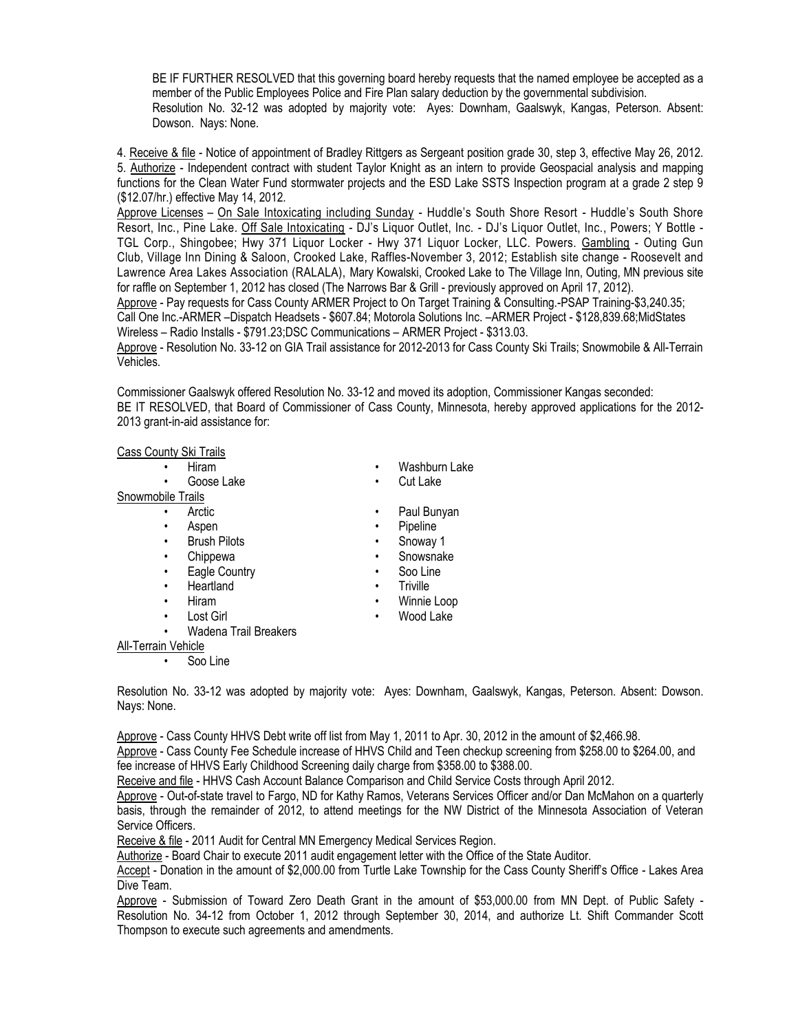BE IF FURTHER RESOLVED that this governing board hereby requests that the named employee be accepted as a member of the Public Employees Police and Fire Plan salary deduction by the governmental subdivision. Resolution No. 32-12 was adopted by majority vote: Ayes: Downham, Gaalswyk, Kangas, Peterson. Absent: Dowson. Nays: None.

4. Receive & file - Notice of appointment of Bradley Rittgers as Sergeant position grade 30, step 3, effective May 26, 2012. 5. Authorize - Independent contract with student Taylor Knight as an intern to provide Geospacial analysis and mapping functions for the Clean Water Fund stormwater projects and the ESD Lake SSTS Inspection program at a grade 2 step 9 (\$12.07/hr.) effective May 14, 2012.

Approve Licenses – On Sale Intoxicating including Sunday - Huddle's South Shore Resort - Huddle's South Shore Resort, Inc., Pine Lake. Off Sale Intoxicating - DJ's Liquor Outlet, Inc. - DJ's Liquor Outlet, Inc., Powers; Y Bottle - TGL Corp., Shingobee; Hwy 371 Liquor Locker - Hwy 371 Liquor Locker, LLC. Powers. Gambling - Outing Gun Club, Village Inn Dining & Saloon, Crooked Lake, Raffles-November 3, 2012; Establish site change - Roosevelt and Lawrence Area Lakes Association (RALALA), Mary Kowalski, Crooked Lake to The Village Inn, Outing, MN previous site for raffle on September 1, 2012 has closed (The Narrows Bar & Grill - previously approved on April 17, 2012).

Approve - Pay requests for Cass County ARMER Project to On Target Training & Consulting.-PSAP Training-\$3,240.35; Call One Inc.-ARMER –Dispatch Headsets - \$607.84; Motorola Solutions Inc. –ARMER Project - \$128,839.68;MidStates Wireless – Radio Installs - \$791.23;DSC Communications – ARMER Project - \$313.03.

Approve - Resolution No. 33-12 on GIA Trail assistance for 2012-2013 for Cass County Ski Trails; Snowmobile & All-Terrain Vehicles.

Commissioner Gaalswyk offered Resolution No. 33-12 and moved its adoption, Commissioner Kangas seconded: BE IT RESOLVED, that Board of Commissioner of Cass County, Minnesota, hereby approved applications for the 2012- 2013 grant-in-aid assistance for:

## Cass County Ski Trails

- 
- 

## Snowmobile Trails

- 
- 
- Brush Pilots  **Snoway 1**
- 
- Eagle Country  **Soo Line**
- Heartland **•** Triville
- 
- 
- Wadena Trail Breakers
- Hiram Washburn Lake
	- Goose Lake **•** Cut Lake
	- Arctic Paul Bunyan
	- Aspen Pipeline
		-
	- Chippewa Snowsnake
		-
		-
- Hiram Winnie Loop
- Lost Girl **•** Wood Lake
- All-Terrain Vehicle
	- Soo Line
- Resolution No. 33-12 was adopted by majority vote: Ayes: Downham, Gaalswyk, Kangas, Peterson. Absent: Dowson. Nays: None.

Approve - Cass County HHVS Debt write off list from May 1, 2011 to Apr. 30, 2012 in the amount of \$2,466.98.

Approve - Cass County Fee Schedule increase of HHVS Child and Teen checkup screening from \$258.00 to \$264.00, and fee increase of HHVS Early Childhood Screening daily charge from \$358.00 to \$388.00.

Receive and file - HHVS Cash Account Balance Comparison and Child Service Costs through April 2012.

Approve - Out-of-state travel to Fargo, ND for Kathy Ramos, Veterans Services Officer and/or Dan McMahon on a quarterly basis, through the remainder of 2012, to attend meetings for the NW District of the Minnesota Association of Veteran Service Officers.

Receive & file - 2011 Audit for Central MN Emergency Medical Services Region.

Authorize - Board Chair to execute 2011 audit engagement letter with the Office of the State Auditor.

Accept - Donation in the amount of \$2,000.00 from Turtle Lake Township for the Cass County Sheriff's Office - Lakes Area Dive Team.

Approve - Submission of Toward Zero Death Grant in the amount of \$53,000.00 from MN Dept. of Public Safety - Resolution No. 34-12 from October 1, 2012 through September 30, 2014, and authorize Lt. Shift Commander Scott Thompson to execute such agreements and amendments.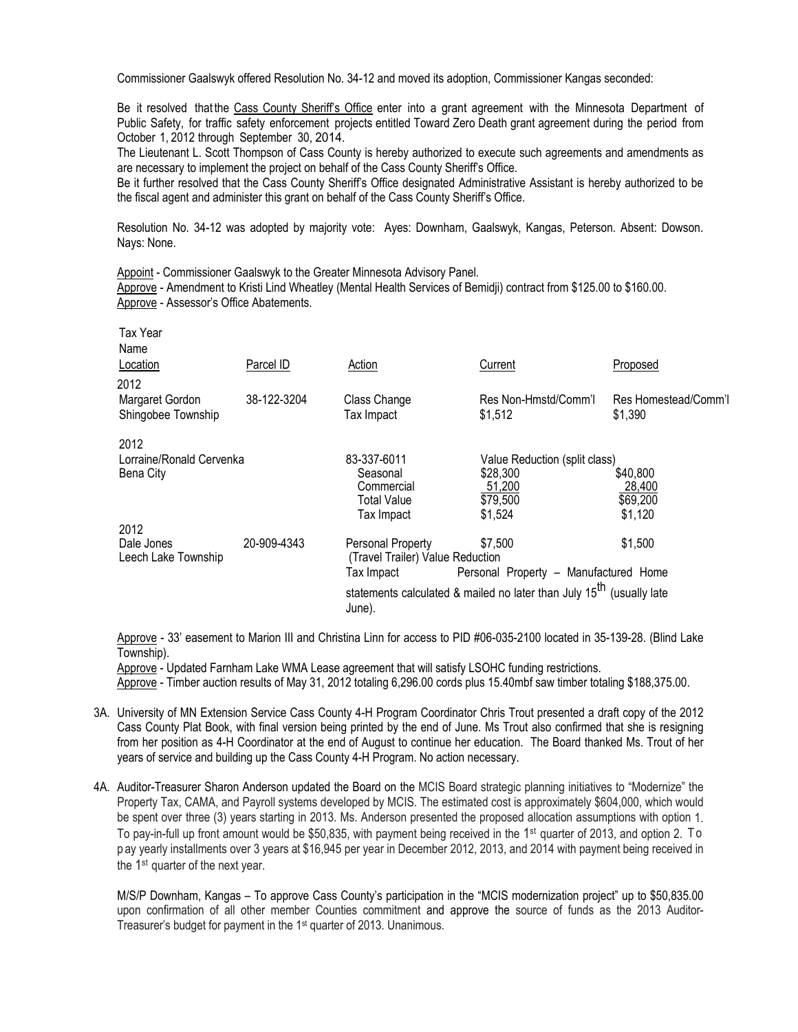Commissioner Gaalswyk offered Resolution No. 34-12 and moved its adoption, Commissioner Kangas seconded:

Be it resolved that the Cass County Sheriff's Office enter into a grant agreement with the Minnesota Department of Public Safety, for traffic safety enforcement projects entitled Toward Zero Death grant agreement during the period from October 1, 2012 through September 30, 2014.

The Lieutenant L. Scott Thompson of Cass County is hereby authorized to execute such agreements and amendments as are necessary to implement the project on behalf of the Cass County Sheriff's Office.

Be it further resolved that the Cass County Sheriff's Office designated Administrative Assistant is hereby authorized to be the fiscal agent and administer this grant on behalf of the Cass County Sheriff's Office.

Resolution No. 34-12 was adopted by majority vote: Ayes: Downham, Gaalswyk, Kangas, Peterson. Absent: Dowson. Nays: None.

Appoint - Commissioner Gaalswyk to the Greater Minnesota Advisory Panel.

Approve - Amendment to Kristi Lind Wheatley (Mental Health Services of Bemidji) contract from \$125.00 to \$160.00. Approve - Assessor's Office Abatements.

| Tax Year<br>Name                      |             |                                                                                            |                                       |                                 |
|---------------------------------------|-------------|--------------------------------------------------------------------------------------------|---------------------------------------|---------------------------------|
| Location                              | Parcel ID   | Action                                                                                     | Current                               | Proposed                        |
| 2012                                  |             |                                                                                            |                                       |                                 |
| Margaret Gordon<br>Shingobee Township | 38-122-3204 | Class Change<br>Tax Impact                                                                 | Res Non-Hmstd/Comm'l<br>\$1,512       | Res Homestead/Comm'l<br>\$1,390 |
| 2012                                  |             |                                                                                            |                                       |                                 |
| Lorraine/Ronald Cervenka              |             | 83-337-6011                                                                                | Value Reduction (split class)         |                                 |
| Bena City                             |             | Seasonal                                                                                   | \$28,300                              | \$40,800                        |
|                                       |             | Commercial                                                                                 | 51,200                                | 28,400                          |
|                                       |             | Total Value                                                                                | \$79,500                              | \$69,200                        |
|                                       |             | Tax Impact                                                                                 | \$1,524                               | \$1,120                         |
| 2012                                  |             |                                                                                            |                                       |                                 |
| Dale Jones<br>Leech Lake Township     | 20-909-4343 | \$7,500<br>Personal Property<br>\$1,500<br>(Travel Trailer) Value Reduction                |                                       |                                 |
|                                       |             | Tax Impact                                                                                 | Personal Property - Manufactured Home |                                 |
|                                       |             | statements calculated & mailed no later than July 15 <sup>th</sup> (usually late<br>June). |                                       |                                 |

Approve - 33' easement to Marion III and Christina Linn for access to PID #06-035-2100 located in 35-139-28. (Blind Lake Township).

Approve - Updated Farnham Lake WMA Lease agreement that will satisfy LSOHC funding restrictions.

Approve - Timber auction results of May 31, 2012 totaling 6,296.00 cords plus 15.40mbf saw timber totaling \$188,375.00.

- 3A. University of MN Extension Service Cass County 4-H Program Coordinator Chris Trout presented a draft copy of the 2012 Cass County Plat Book, with final version being printed by the end of June. Ms Trout also confirmed that she is resigning from her position as 4-H Coordinator at the end of August to continue her education. The Board thanked Ms. Trout of her years of service and building up the Cass County 4-H Program. No action necessary.
- 4A. Auditor-Treasurer Sharon Anderson updated the Board on the MCIS Board strategic planning initiatives to "Modernize" the Property Tax, CAMA, and Payroll systems developed by MCIS. The estimated cost is approximately \$604,000, which would be spent over three (3) years starting in 2013. Ms. Anderson presented the proposed allocation assumptions with option 1. To pay-in-full up front amount would be \$50,835, with payment being received in the 1<sup>st</sup> quarter of 2013, and option 2. To p ay yearly installments over 3 years at \$16,945 per year in December 2012, 2013, and 2014 with payment being received in the 1<sup>st</sup> quarter of the next year.

M/S/P Downham, Kangas – To approve Cass County's participation in the "MCIS modernization project" up to \$50,835.00 upon confirmation of all other member Counties commitment and approve the source of funds as the 2013 Auditor-Treasurer's budget for payment in the 1st quarter of 2013. Unanimous.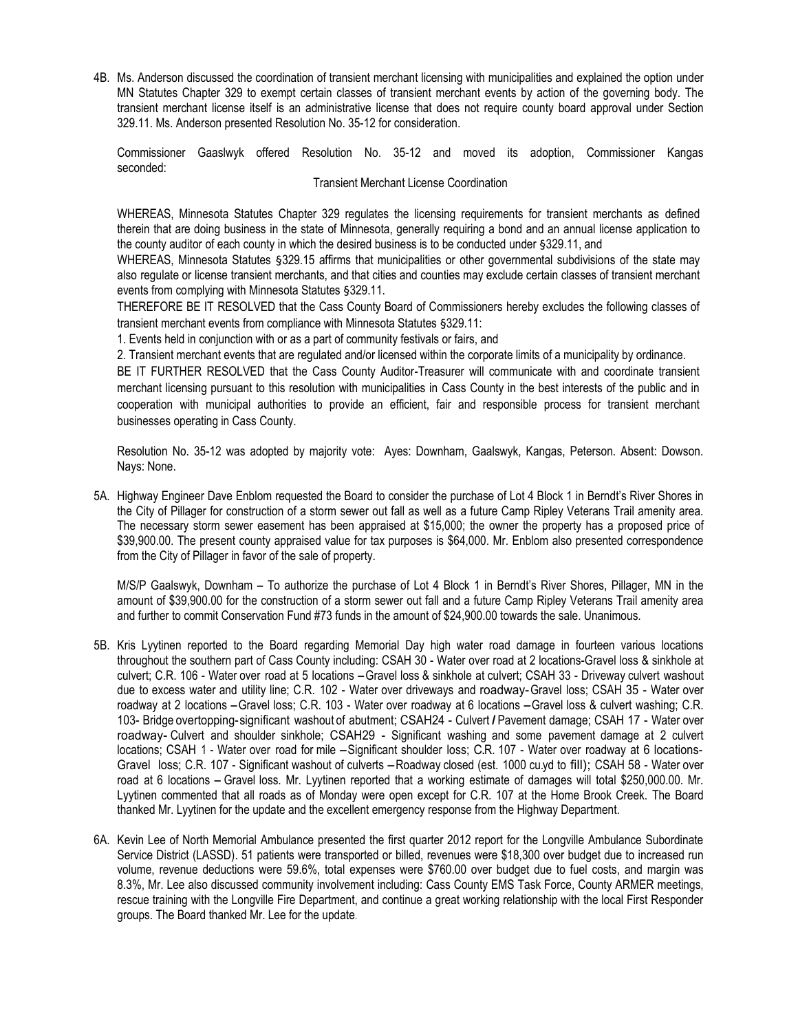4B. Ms. Anderson discussed the coordination of transient merchant licensing with municipalities and explained the option under MN Statutes Chapter 329 to exempt certain classes of transient merchant events by action of the governing body. The transient merchant license itself is an administrative license that does not require county board approval under Section 329.11. Ms. Anderson presented Resolution No. 35-12 for consideration.

Commissioner Gaaslwyk offered Resolution No. 35-12 and moved its adoption, Commissioner Kangas seconded:

## Transient Merchant License Coordination

WHEREAS, Minnesota Statutes Chapter 329 regulates the licensing requirements for transient merchants as defined therein that are doing business in the state of Minnesota, generally requiring a bond and an annual license application to the county auditor of each county in which the desired business is to be conducted under §329.11, and

WHEREAS, Minnesota Statutes §329.15 affirms that municipalities or other governmental subdivisions of the state may also regulate or license transient merchants, and that cities and counties may exclude certain classes of transient merchant events from complying with Minnesota Statutes §329.11.

THEREFORE BE IT RESOLVED that the Cass County Board of Commissioners hereby excludes the following classes of transient merchant events from compliance with Minnesota Statutes §329.11:

1. Events held in conjunction with or as a part of community festivals or fairs, and

2. Transient merchant events that are regulated and/or licensed within the corporate limits of a municipality by ordinance.

BE IT FURTHER RESOLVED that the Cass County Auditor-Treasurer will communicate with and coordinate transient merchant licensing pursuant to this resolution with municipalities in Cass County in the best interests of the public and in cooperation with municipal authorities to provide an efficient, fair and responsible process for transient merchant businesses operating in Cass County.

Resolution No. 35-12 was adopted by majority vote: Ayes: Downham, Gaalswyk, Kangas, Peterson. Absent: Dowson. Nays: None.

5A. Highway Engineer Dave Enblom requested the Board to consider the purchase of Lot 4 Block 1 in Berndt's River Shores in the City of Pillager for construction of a storm sewer out fall as well as a future Camp Ripley Veterans Trail amenity area. The necessary storm sewer easement has been appraised at \$15,000; the owner the property has a proposed price of \$39,900.00. The present county appraised value for tax purposes is \$64,000. Mr. Enblom also presented correspondence from the City of Pillager in favor of the sale of property.

M/S/P Gaalswyk, Downham – To authorize the purchase of Lot 4 Block 1 in Berndt's River Shores, Pillager, MN in the amount of \$39,900.00 for the construction of a storm sewer out fall and a future Camp Ripley Veterans Trail amenity area and further to commit Conservation Fund #73 funds in the amount of \$24,900.00 towards the sale. Unanimous.

- 5B. Kris Lyytinen reported to the Board regarding Memorial Day high water road damage in fourteen various locations throughout the southern part of Cass County including: CSAH 30 - Water over road at 2 locations-Gravel loss & sinkhole at culvert; C.R. 106 - Water over road at 5 locations - Gravel loss & sinkhole at culvert; CSAH 33 - Driveway culvert washout due to excess water and utility line; C.R. 102 - Water over driveways and roadway-Gravel loss; CSAH 35 - Water over roadway at <sup>2</sup> locations -Gravel loss; C.R. 103 - Water over roadway at <sup>6</sup> locations -Gravel loss & culvert washing; C.R. 103- Bridge overtopping-significant washout of abutment; CSAH24 - Culvert *I* Pavement damage; CSAH 17 - Water over roadway- Culvert and shoulder sinkhole; CSAH29 - Significant washing and some pavement damage at 2 culvert locations; CSAH 1 - Water over road for mile -Significant shoulder loss; C.R. 107 - Water over roadway at <sup>6</sup> locations-Gravel loss; C.R. 107 - Significant washout of culverts -Roadway closed (est. 1000 cu.yd to fill); CSAH 58 - Water over road at 6 locations - Gravel loss. Mr. Lyytinen reported that a working estimate of damages will total \$250,000.00. Mr. Lyytinen commented that all roads as of Monday were open except for C.R. 107 at the Home Brook Creek. The Board thanked Mr. Lyytinen for the update and the excellent emergency response from the Highway Department.
- 6A. Kevin Lee of North Memorial Ambulance presented the first quarter 2012 report for the Longville Ambulance Subordinate Service District (LASSD). 51 patients were transported or billed, revenues were \$18,300 over budget due to increased run volume, revenue deductions were 59.6%, total expenses were \$760.00 over budget due to fuel costs, and margin was 8.3%, Mr. Lee also discussed community involvement including: Cass County EMS Task Force, County ARMER meetings, rescue training with the Longville Fire Department, and continue a great working relationship with the local First Responder groups. The Board thanked Mr. Lee for the update.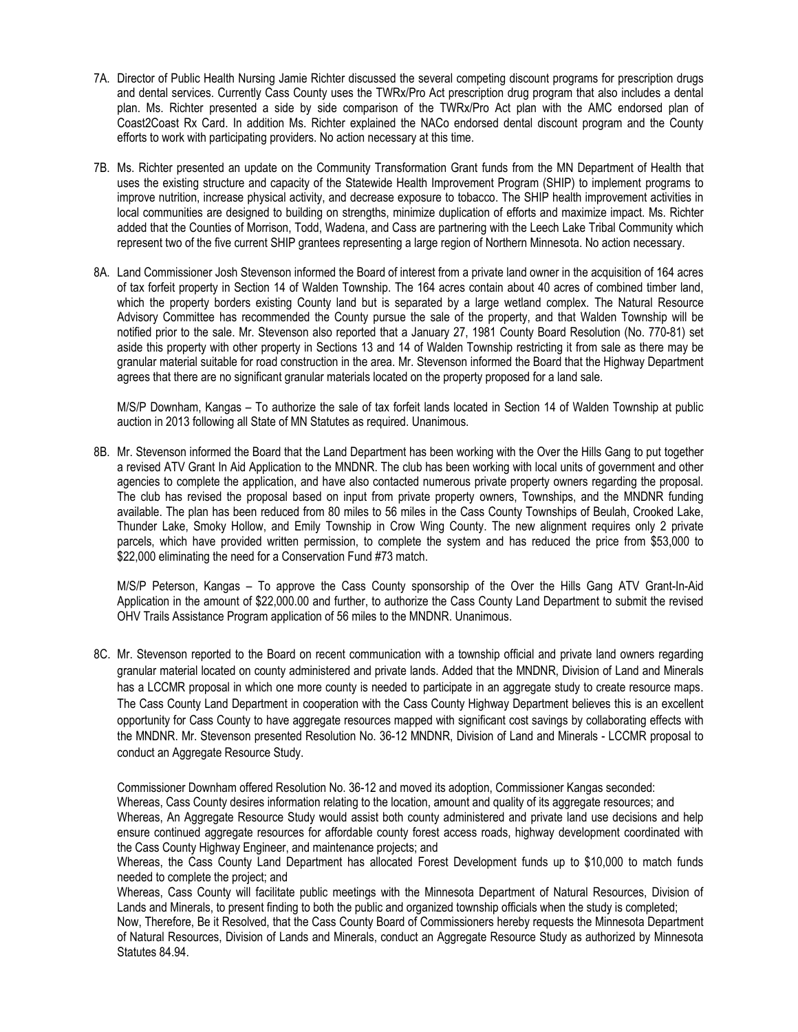- 7A. Director of Public Health Nursing Jamie Richter discussed the several competing discount programs for prescription drugs and dental services. Currently Cass County uses the TWRx/Pro Act prescription drug program that also includes a dental plan. Ms. Richter presented a side by side comparison of the TWRx/Pro Act plan with the AMC endorsed plan of Coast2Coast Rx Card. In addition Ms. Richter explained the NACo endorsed dental discount program and the County efforts to work with participating providers. No action necessary at this time.
- 7B. Ms. Richter presented an update on the Community Transformation Grant funds from the MN Department of Health that uses the existing structure and capacity of the Statewide Health Improvement Program (SHIP) to implement programs to improve nutrition, increase physical activity, and decrease exposure to tobacco. The SHIP health improvement activities in local communities are designed to building on strengths, minimize duplication of efforts and maximize impact. Ms. Richter added that the Counties of Morrison, Todd, Wadena, and Cass are partnering with the Leech Lake Tribal Community which represent two of the five current SHIP grantees representing a large region of Northern Minnesota. No action necessary.
- 8A. Land Commissioner Josh Stevenson informed the Board of interest from a private land owner in the acquisition of 164 acres of tax forfeit property in Section 14 of Walden Township. The 164 acres contain about 40 acres of combined timber land, which the property borders existing County land but is separated by a large wetland complex. The Natural Resource Advisory Committee has recommended the County pursue the sale of the property, and that Walden Township will be notified prior to the sale. Mr. Stevenson also reported that a January 27, 1981 County Board Resolution (No. 770-81) set aside this property with other property in Sections 13 and 14 of Walden Township restricting it from sale as there may be granular material suitable for road construction in the area. Mr. Stevenson informed the Board that the Highway Department agrees that there are no significant granular materials located on the property proposed for a land sale.

M/S/P Downham, Kangas – To authorize the sale of tax forfeit lands located in Section 14 of Walden Township at public auction in 2013 following all State of MN Statutes as required. Unanimous.

8B. Mr. Stevenson informed the Board that the Land Department has been working with the Over the Hills Gang to put together a revised ATV Grant In Aid Application to the MNDNR. The club has been working with local units of government and other agencies to complete the application, and have also contacted numerous private property owners regarding the proposal. The club has revised the proposal based on input from private property owners, Townships, and the MNDNR funding available. The plan has been reduced from 80 miles to 56 miles in the Cass County Townships of Beulah, Crooked Lake, Thunder Lake, Smoky Hollow, and Emily Township in Crow Wing County. The new alignment requires only 2 private parcels, which have provided written permission, to complete the system and has reduced the price from \$53,000 to \$22,000 eliminating the need for a Conservation Fund #73 match.

M/S/P Peterson, Kangas – To approve the Cass County sponsorship of the Over the Hills Gang ATV Grant-In-Aid Application in the amount of \$22,000.00 and further, to authorize the Cass County Land Department to submit the revised OHV Trails Assistance Program application of 56 miles to the MNDNR. Unanimous.

8C. Mr. Stevenson reported to the Board on recent communication with a township official and private land owners regarding granular material located on county administered and private lands. Added that the MNDNR, Division of Land and Minerals has a LCCMR proposal in which one more county is needed to participate in an aggregate study to create resource maps. The Cass County Land Department in cooperation with the Cass County Highway Department believes this is an excellent opportunity for Cass County to have aggregate resources mapped with significant cost savings by collaborating effects with the MNDNR. Mr. Stevenson presented Resolution No. 36-12 MNDNR, Division of Land and Minerals - LCCMR proposal to conduct an Aggregate Resource Study.

Commissioner Downham offered Resolution No. 36-12 and moved its adoption, Commissioner Kangas seconded: Whereas, Cass County desires information relating to the location, amount and quality of its aggregate resources; and Whereas, An Aggregate Resource Study would assist both county administered and private land use decisions and help ensure continued aggregate resources for affordable county forest access roads, highway development coordinated with the Cass County Highway Engineer, and maintenance projects; and

Whereas, the Cass County Land Department has allocated Forest Development funds up to \$10,000 to match funds needed to complete the project; and

Whereas, Cass County will facilitate public meetings with the Minnesota Department of Natural Resources, Division of Lands and Minerals, to present finding to both the public and organized township officials when the study is completed;

Now, Therefore, Be it Resolved, that the Cass County Board of Commissioners hereby requests the Minnesota Department of Natural Resources, Division of Lands and Minerals, conduct an Aggregate Resource Study as authorized by Minnesota Statutes 84.94.